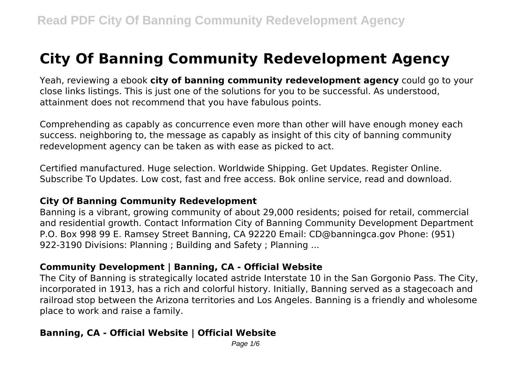# **City Of Banning Community Redevelopment Agency**

Yeah, reviewing a ebook **city of banning community redevelopment agency** could go to your close links listings. This is just one of the solutions for you to be successful. As understood, attainment does not recommend that you have fabulous points.

Comprehending as capably as concurrence even more than other will have enough money each success. neighboring to, the message as capably as insight of this city of banning community redevelopment agency can be taken as with ease as picked to act.

Certified manufactured. Huge selection. Worldwide Shipping. Get Updates. Register Online. Subscribe To Updates. Low cost, fast and free access. Bok online service, read and download.

#### **City Of Banning Community Redevelopment**

Banning is a vibrant, growing community of about 29,000 residents; poised for retail, commercial and residential growth. Contact Information City of Banning Community Development Department P.O. Box 998 99 E. Ramsey Street Banning, CA 92220 Email: CD@banningca.gov Phone: (951) 922-3190 Divisions: Planning ; Building and Safety ; Planning ...

#### **Community Development | Banning, CA - Official Website**

The City of Banning is strategically located astride Interstate 10 in the San Gorgonio Pass. The City, incorporated in 1913, has a rich and colorful history. Initially, Banning served as a stagecoach and railroad stop between the Arizona territories and Los Angeles. Banning is a friendly and wholesome place to work and raise a family.

# **Banning, CA - Official Website | Official Website**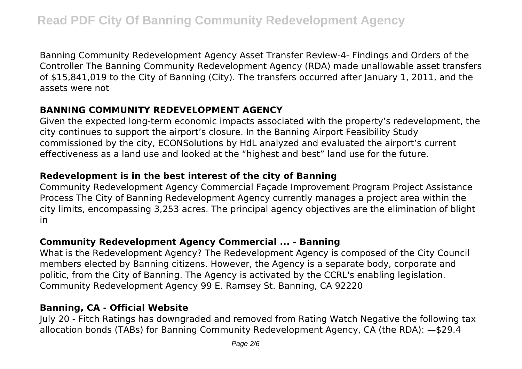Banning Community Redevelopment Agency Asset Transfer Review-4- Findings and Orders of the Controller The Banning Community Redevelopment Agency (RDA) made unallowable asset transfers of \$15,841,019 to the City of Banning (City). The transfers occurred after January 1, 2011, and the assets were not

#### **BANNING COMMUNITY REDEVELOPMENT AGENCY**

Given the expected long-term economic impacts associated with the property's redevelopment, the city continues to support the airport's closure. In the Banning Airport Feasibility Study commissioned by the city, ECONSolutions by HdL analyzed and evaluated the airport's current effectiveness as a land use and looked at the "highest and best" land use for the future.

#### **Redevelopment is in the best interest of the city of Banning**

Community Redevelopment Agency Commercial Façade Improvement Program Project Assistance Process The City of Banning Redevelopment Agency currently manages a project area within the city limits, encompassing 3,253 acres. The principal agency objectives are the elimination of blight in

#### **Community Redevelopment Agency Commercial ... - Banning**

What is the Redevelopment Agency? The Redevelopment Agency is composed of the City Council members elected by Banning citizens. However, the Agency is a separate body, corporate and politic, from the City of Banning. The Agency is activated by the CCRL's enabling legislation. Community Redevelopment Agency 99 E. Ramsey St. Banning, CA 92220

#### **Banning, CA - Official Website**

July 20 - Fitch Ratings has downgraded and removed from Rating Watch Negative the following tax allocation bonds (TABs) for Banning Community Redevelopment Agency, CA (the RDA): —\$29.4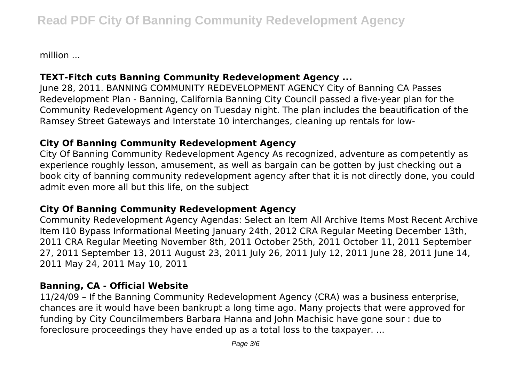million ...

# **TEXT-Fitch cuts Banning Community Redevelopment Agency ...**

June 28, 2011. BANNING COMMUNITY REDEVELOPMENT AGENCY City of Banning CA Passes Redevelopment Plan - Banning, California Banning City Council passed a five-year plan for the Community Redevelopment Agency on Tuesday night. The plan includes the beautification of the Ramsey Street Gateways and Interstate 10 interchanges, cleaning up rentals for low-

# **City Of Banning Community Redevelopment Agency**

City Of Banning Community Redevelopment Agency As recognized, adventure as competently as experience roughly lesson, amusement, as well as bargain can be gotten by just checking out a book city of banning community redevelopment agency after that it is not directly done, you could admit even more all but this life, on the subject

# **City Of Banning Community Redevelopment Agency**

Community Redevelopment Agency Agendas: Select an Item All Archive Items Most Recent Archive Item I10 Bypass Informational Meeting January 24th, 2012 CRA Regular Meeting December 13th, 2011 CRA Regular Meeting November 8th, 2011 October 25th, 2011 October 11, 2011 September 27, 2011 September 13, 2011 August 23, 2011 July 26, 2011 July 12, 2011 June 28, 2011 June 14, 2011 May 24, 2011 May 10, 2011

# **Banning, CA - Official Website**

11/24/09 – If the Banning Community Redevelopment Agency (CRA) was a business enterprise, chances are it would have been bankrupt a long time ago. Many projects that were approved for funding by City Councilmembers Barbara Hanna and John Machisic have gone sour : due to foreclosure proceedings they have ended up as a total loss to the taxpayer. ...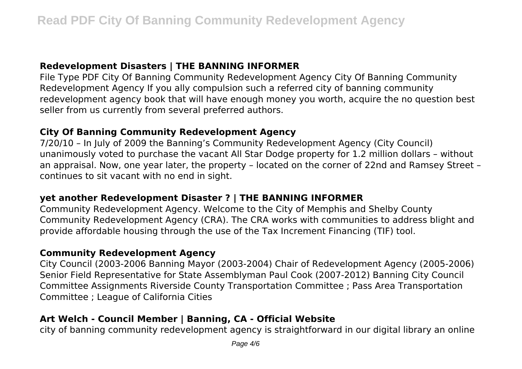#### **Redevelopment Disasters | THE BANNING INFORMER**

File Type PDF City Of Banning Community Redevelopment Agency City Of Banning Community Redevelopment Agency If you ally compulsion such a referred city of banning community redevelopment agency book that will have enough money you worth, acquire the no question best seller from us currently from several preferred authors.

#### **City Of Banning Community Redevelopment Agency**

7/20/10 – In July of 2009 the Banning's Community Redevelopment Agency (City Council) unanimously voted to purchase the vacant All Star Dodge property for 1.2 million dollars – without an appraisal. Now, one year later, the property – located on the corner of 22nd and Ramsey Street – continues to sit vacant with no end in sight.

# **yet another Redevelopment Disaster ? | THE BANNING INFORMER**

Community Redevelopment Agency. Welcome to the City of Memphis and Shelby County Community Redevelopment Agency (CRA). The CRA works with communities to address blight and provide affordable housing through the use of the Tax Increment Financing (TIF) tool.

# **Community Redevelopment Agency**

City Council (2003-2006 Banning Mayor (2003-2004) Chair of Redevelopment Agency (2005-2006) Senior Field Representative for State Assemblyman Paul Cook (2007-2012) Banning City Council Committee Assignments Riverside County Transportation Committee ; Pass Area Transportation Committee ; League of California Cities

# **Art Welch - Council Member | Banning, CA - Official Website**

city of banning community redevelopment agency is straightforward in our digital library an online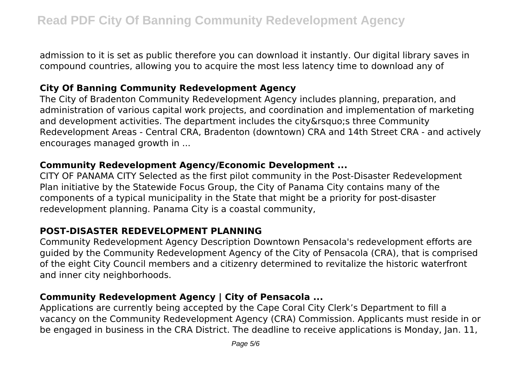admission to it is set as public therefore you can download it instantly. Our digital library saves in compound countries, allowing you to acquire the most less latency time to download any of

# **City Of Banning Community Redevelopment Agency**

The City of Bradenton Community Redevelopment Agency includes planning, preparation, and administration of various capital work projects, and coordination and implementation of marketing and development activities. The department includes the city&rsquo:s three Community Redevelopment Areas - Central CRA, Bradenton (downtown) CRA and 14th Street CRA - and actively encourages managed growth in ...

#### **Community Redevelopment Agency/Economic Development ...**

CITY OF PANAMA CITY Selected as the first pilot community in the Post‐Disaster Redevelopment Plan initiative by the Statewide Focus Group, the City of Panama City contains many of the components of a typical municipality in the State that might be a priority for post‐disaster redevelopment planning. Panama City is a coastal community,

# **POST-DISASTER REDEVELOPMENT PLANNING**

Community Redevelopment Agency Description Downtown Pensacola's redevelopment efforts are guided by the Community Redevelopment Agency of the City of Pensacola (CRA), that is comprised of the eight City Council members and a citizenry determined to revitalize the historic waterfront and inner city neighborhoods.

# **Community Redevelopment Agency | City of Pensacola ...**

Applications are currently being accepted by the Cape Coral City Clerk's Department to fill a vacancy on the Community Redevelopment Agency (CRA) Commission. Applicants must reside in or be engaged in business in the CRA District. The deadline to receive applications is Monday, Jan. 11,